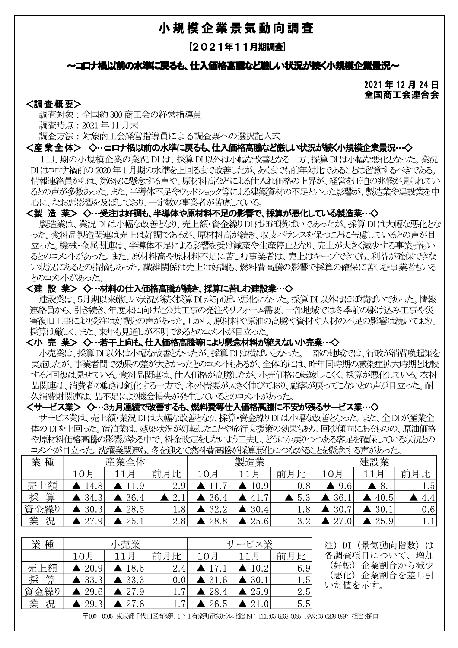## -

[2021年11月期調<u>覚</u>]

2021年12月24日 全国商工会連合会

**<調査概要>**<br>- 調査対象 : 全国約 300 商工会の経営指導員

| **小規 程 企 業 景 気 動 回 調 登<br>| 2021年11月期調査|**<br>| 2021年11月末**前の水準に戻るも、仕入価格高識など厳しい状況が続く小規模企業景況~**<br>| 2021年12月まで、全国約300商工会の経営指導員<br>| 調査対象 :全国約300商工会の経営指導員<br>| 調査対象 :全国約300商工会の経営指導員<br>| 高さ方法 :対象商工会経営指導員による調査票への選択記入式<br>| インプリントの会社の実際の大学を受け、およ DIはコロナ禍前の2020年1月期の水準を上回るまで改善したが、あくまでも前年対比であることは留意するべきである。 情報連絡員からは、第6波に懸念する声や、原材料高などによる仕入れ価格の上昇が、経営を圧迫の兆候が見られてい るとの声が多数あった。また、半導体不足やウッドショック等による建築資材の不足といった影響が、製造業や建設業を中 **- 心に、なお悪影響を及ぼしており、一定数の事業者が苦慮している。**<br>**<製 造 業> ◇…受注は好調も、半導体や原材料不足の影響で、採算が悪化している製造業…◇** 

### $\mathbf{r}$

衆這美は、美沈 DI は小帽な改善どより、元上観・賞金繰り DI ははは傾はい 'Cめつたか、 採昇 DI は大幅な悪化どな<br>、 - ^ は言葉はFFN book」という言葉 った。食料品製造関連は売上は好調であるが、原材料高が続き、収支バランスを保つことに苦慮しているとの声が目 立った。機械・金属関連は、半導体不足による影響を受け減産や生産停止となり、売上が大きく減少する事業所もい るとのコメントがあった。また、原材料高や原材料不足に苦しむ事業者は、売上はキープできても、利益が確保できな い状況にあるとの指摘もあった。繊維関係は売上は好調も、燃料費高騰の影響で採算の確保に苦しむ事業者もいる

## \_ とのコメントがあった。<br>**<建 設 業> ◇…材料の仕入価格高騰が続き、採算に苦しむ建設業…◇**

建設美は、5月期以米敵しい下沈P統K採昇 DI P-Spt.CIV 窓化しょった。 採昇 DI 以外はます傾はい ぐめった。 情報<br>公尺 こここはいしゃない ここにはいい アーカーデン ささいさい 理給貝フトン、5は統さ、年度木に回りに公共工事の発注ペツノオーム需要、一部地域では冬学即の駅のひみ工事ペン、<br>ナルエーマン(△National Line) - トンパー・トーン、一戸出社・戸社・古部ハンタリー・カー・ロー・ログア・バー・ハン 害復旧工事により受注は好調との声があった。しかし、原材料や原油の高騰や資材や人材の不足の影響は続いており、

# 採算は厳しく、また、来年も見通しが不明であるとのコメントが目立った。<br>**<小 売 業> ◇…若干上向も、仕入価格高騰等により懸念材料が絶えない小売業…◇**

状況にあるとの指摘もあった。繊維関係は売上は好調は、燃料費高騰の影響で採算の確保に苦しむ事業者も、る<br>2つストがあった。<br>**を設業よ、5月期以来厳しい状況が続く採算ロボラは近い悪化になった。採算** BI以外はおぼ横式いであった。情報<br>を設業は、5月期以来厳しい状況が続く採算 BIが5pd近、悪化になった。採算 BI以外はおぼ横式いであった。情報<br>後日工事にお受注は規制との声があった。しかし、所以料や原油の高騰や資材や人材の不足の影響は続 実施したが、事業者間で効果の差が大きかったとのコメントもあるが、全体的には、昨年同時期の感染症拡大時期と比較 すると回復は見せている。食料品関連は、仕入価格が高騰したが、小売価格に転嫁しにくく、採算が悪化している。衣料<br>品関連は、消費者の動きは鈍化する一方で、ネット需要が大きく伸びており、顧客が戻ってこないとの声が目立った。耐 ÓÔTU'þÆK?T@c\_`avUA°ïxÑzBC¦ÀÃUDExFd¦~[§^KxàádefG 理締員があり、引き続き、年収未に同けた公式工作、一体部署、一般に、一体部を有限はあるのの原料相続高騰の影響があるような、インコントが開立しており、インコントンの不同なので、インスタッチの基地域の高度を持っており、インスタッチを実現通り、仕入価格高騰等により懸念材料が絶えない小売業・、<br>イル売業は、採算の以外は見違いが不明であるクロスクトあるが、全体的には、昨年同時期の感染症法大時期比較のようなと回復は、非業者間で効果の差がなどなったと

体のDIを上回った。宿泊業は、感染状況が好転したことや旅行支援策の効果もあり、回復傾向にあるものの、原油価格 や原材料価格高騰の影響がある中で、料金改定をしないよう工夫し、どうにか戻りつつある客足を確保している状況との コメントが目立った。洗濯業関連も、冬を迎えて燃料費高騰が採算悪化につながることを懸念する声があった。

| 業種       |                       | 産業全体                  |                                                                                  |                       | 製造業                   |     |                         | 建設業                   |          |
|----------|-----------------------|-----------------------|----------------------------------------------------------------------------------|-----------------------|-----------------------|-----|-------------------------|-----------------------|----------|
|          | 10月                   | 11月                   | 前月比                                                                              | 10月                   | 11月                   | 前月比 | 10月                     | 11月                   | 前月比      |
| 売.<br>上額 | $\blacktriangle$ 14.8 | $\blacktriangle$ 11.9 | 2.9                                                                              |                       | $\blacktriangle$ 10.9 | 0.8 | 9.6<br>$\blacktriangle$ | $\blacktriangle$ 8.1  | 1.5      |
| 算<br>採   | 34.3                  | 36.4                  | 2.1                                                                              | 36.4                  | 41.7                  | 5.3 | 36.1                    | 40.5                  | 4.4      |
| 資金繰り     | 30.3                  | 28.5                  | 1.8                                                                              | 32.2                  | 30.4<br>A             | 1.8 | 30.7                    | 30.1                  | 0.6      |
| 業<br>況   | $\blacktriangle$ 27.9 | 25.1                  | 2.8                                                                              | 28.8                  | $\triangle$ 25.6      | 3.2 | 27.0                    | $\blacktriangle$ 25.9 | 1.1      |
|          |                       |                       |                                                                                  |                       |                       |     |                         |                       |          |
| 業種       |                       | 小売業                   |                                                                                  |                       | サービス業                 |     | 注)<br>DI                | (景気動向指数)              | は        |
|          | 10月                   | 11月                   | 前月比                                                                              | 10月                   | 11月                   | 前月比 |                         | 各調査項目について、増加          |          |
| 売上額      | $\blacktriangle$ 20.9 | $\blacktriangle$ 18.5 | 2.4                                                                              | $\blacktriangle$ 17.  | $\blacktriangle$ 10.2 | 6.9 | (好転)                    |                       | 企業割合から減少 |
| 算<br>採   | $\blacktriangle$ 33.3 | $\blacktriangle$ 33.3 | 0.0                                                                              | $\blacktriangle$ 31.6 | $\blacktriangle$ 30.1 | 1.5 | (悪化)<br>いた値を示す。         |                       | 企業割合を差し引 |
| 資金繰り     | 29.6                  | $\triangle$ 27.9      | 1.7                                                                              | 28.4                  | $\blacktriangle$ 25.9 | 2.5 |                         |                       |          |
| 業<br>況   | 29.3                  | $\blacktriangle$ 27.6 | 1.7                                                                              | 26.5                  | $\triangle$ 21.0      | 5.5 |                         |                       |          |
|          |                       |                       | 〒100-0006 東京都千代田区有楽町 1-7-1 有楽町電気ビル北館 19F TEL:03-6268-0085 FAX:03-6268-0097 担当:樋口 |                       |                       |     |                         |                       |          |

| 業種     | 小売業                   |                       |         | ービス業                        |                       |     |  |
|--------|-----------------------|-----------------------|---------|-----------------------------|-----------------------|-----|--|
|        | 10月                   | 11月                   | 前月比     | 10月                         |                       | 前月比 |  |
| 売上額    | $\blacktriangle$ 20.9 | $\blacktriangle$ 18.5 | 2.4     | $\blacktriangle$ 17.1       | $\triangle$ 10.2      | 6.9 |  |
| 算<br>採 | $\blacktriangle$ 33.3 | $\blacktriangle$ 33.3 | 0.0     | $\blacktriangle$ 31.<br>6.6 | $\blacktriangle$ 30.1 | 1.5 |  |
| 資金繰り   | $\triangle$ 29.6      | $\blacktriangle$ 27.9 | 1.7     | $\triangle$ 28.4            | $\blacktriangle$ 25.9 | 2.5 |  |
| 業<br>況 | $\blacktriangle$ 29.3 | $\triangle$ 27.6'     | $1.7\,$ | $\blacktriangle$ 26.5       | $\triangle$ 21.0      | 5.5 |  |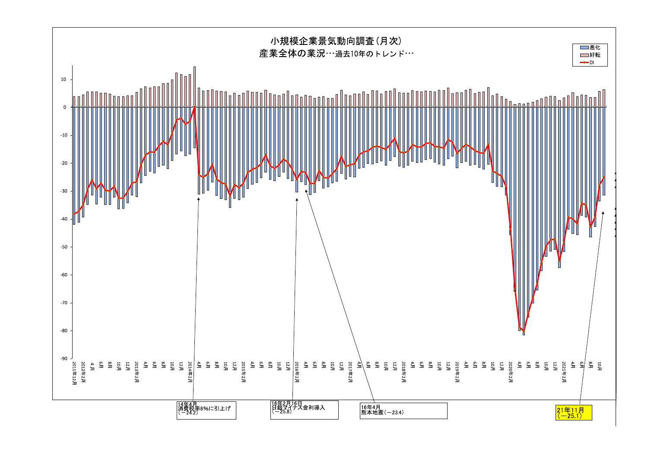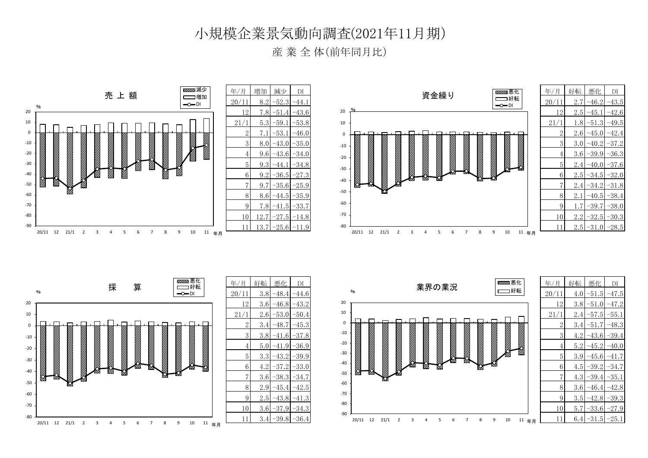### 小規模企業景気動向調査(2021年11月期)

産 業 全 体(前年同月比)

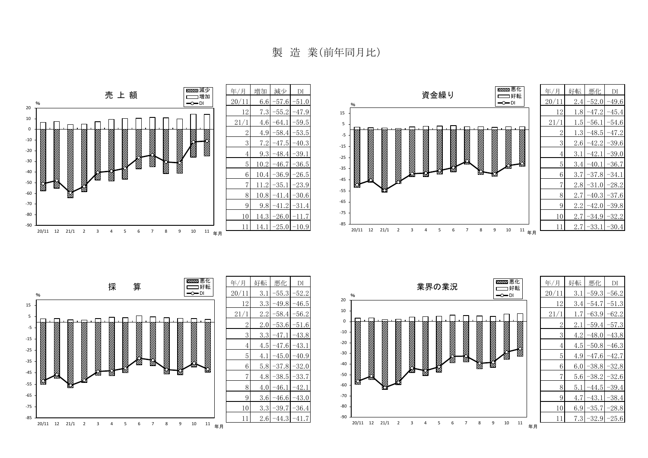製 造 業(前年同月比)





| 年/月            | 好転  | 悪化      | DI      |
|----------------|-----|---------|---------|
| 20/11          | 3.1 | $-55.3$ | $-52.2$ |
| 12             | 3.3 | $-49.8$ | $-46.5$ |
| 21/1           | 2.2 | $-58.4$ | $-56.2$ |
| 2              | 2.0 | $-53.6$ | $-51.6$ |
| 3              | 3.3 | -47.1   | $-43.8$ |
| $\overline{4}$ | 4.5 | $-47.6$ | $-43.1$ |
| 5              | 4.1 | $-45.0$ | $-40.9$ |
| 6              | 5.8 | $-37.8$ | $-32.0$ |
| 7              | 4.8 | $-38.5$ | -33.7   |
| 8              | 4.0 | -46.1   | -42.1   |
| 9              | 3.6 | $-46.6$ | $-43.0$ |
| 10             | 3.3 | -39.7   | -36.4   |
| 11             | 2.6 | $-44.3$ | $-41.7$ |



| 年/月            | 好転  | 悪化      | DI      |
|----------------|-----|---------|---------|
| 20/11          | 3.1 | $-59.3$ | $-56.2$ |
| 12             | 3.4 | $-54.7$ | $-51.3$ |
| 21/1           | 1.7 | $-63.9$ | $-62.2$ |
| $\overline{2}$ | 2.1 | $-59.4$ | $-57.3$ |
| 3              | 4.2 | $-48.0$ | $-43.8$ |
| $\overline{4}$ | 4.5 | $-50.8$ | -46.3   |
| 5              | 4.9 | $-47.6$ | -42.7   |
| 6              | 6.0 | $-38.8$ | $-32.8$ |
| 7              | 5.6 | $-38.2$ | $-32.6$ |
| 8              | 5.1 | -44.5   | $-39.4$ |
| 9              | 4.7 | $-43.1$ | $-38.4$ |
| 10             | 6.9 | $-35.7$ | $-28.8$ |
| 11             | 7.3 | $-32.9$ | $-25.6$ |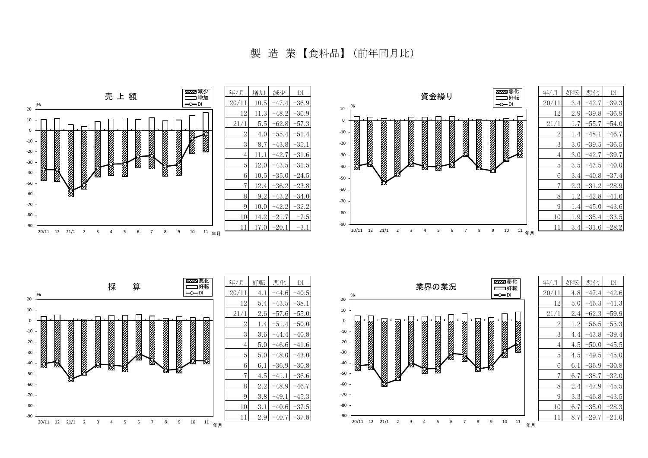製 造 業 【食料品】 (前年同月比)





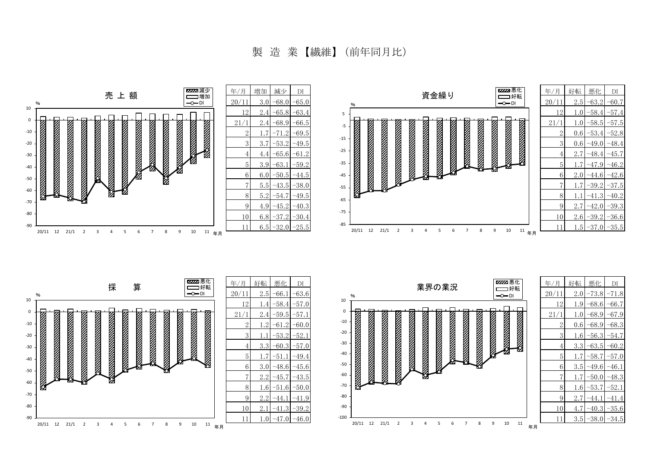製 造 業 【繊維】 (前年同月比)



20/11 12 21/1 2 3 4 5 6 7 8 9 10 11

年月

年月

20/11 12 21/1 2 3 4 5 6 7 8 9 10 11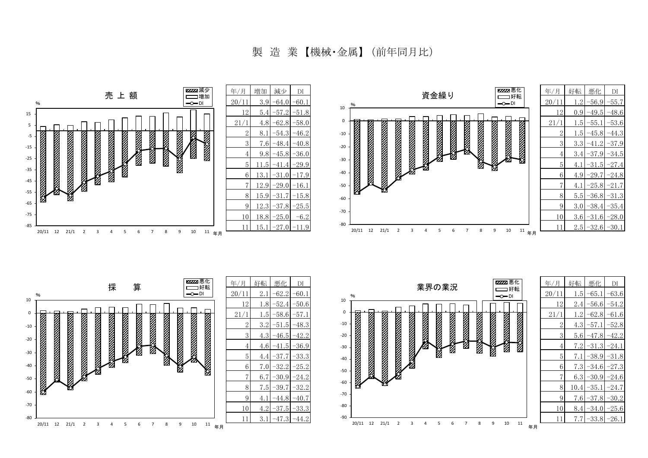製 造 業 【機械・金属】 (前年同月比)

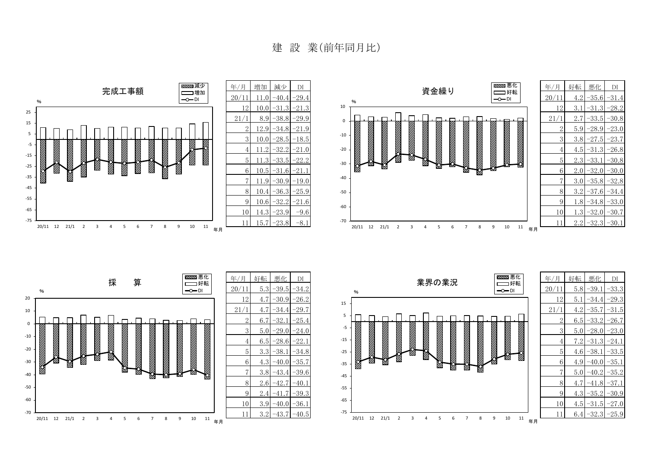建 設 業(前年同月比)





| 年/月            | 好転  | 悪化      | DI      |  |
|----------------|-----|---------|---------|--|
| 20/11          | 5.3 | -39.5   | $-34.2$ |  |
| 12             | 4.7 | $-30.9$ | -26.2   |  |
| 21/1           | 4.7 | $-34.4$ | $-29.7$ |  |
| $\overline{2}$ | 6.7 | -32.1   | $-25.4$ |  |
| 3              | 5.0 | $-29.0$ | $-24.0$ |  |
| 4              | 6.5 | $-28.6$ | -22.1   |  |
| 5              | 3.3 | $-38.1$ | -34.8   |  |
| 6              | 4.3 | $-40.0$ | -35.7   |  |
| 7              | 3.8 | $-43.4$ | -39.6   |  |
| 8              | 2.6 | $-42.7$ | $-40.1$ |  |
| 9              | 2.4 | $-41.7$ | -39.3   |  |
| 10             | 3.9 | $-40.0$ | $-36.1$ |  |
| 11             | 3.2 | $-43.7$ | $-40.5$ |  |

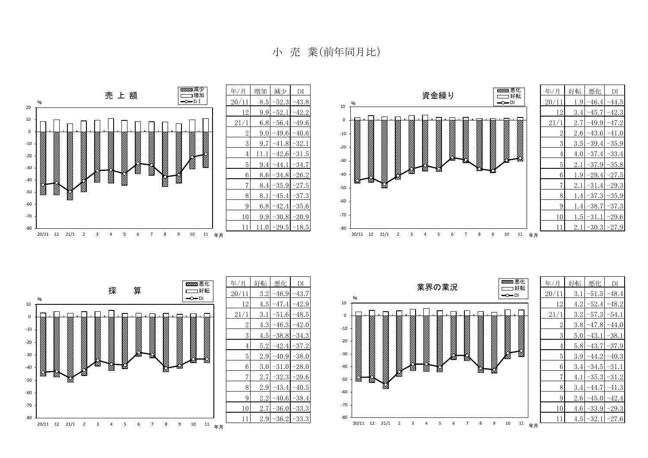小 売 業(前年同月比)

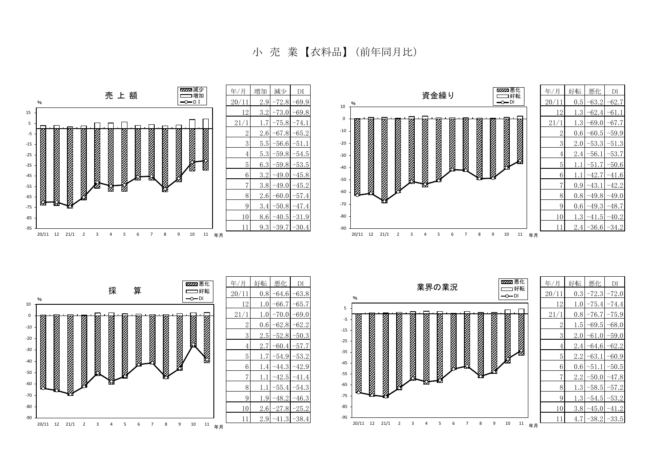小 売 業 【衣料品】 (前年同月比)

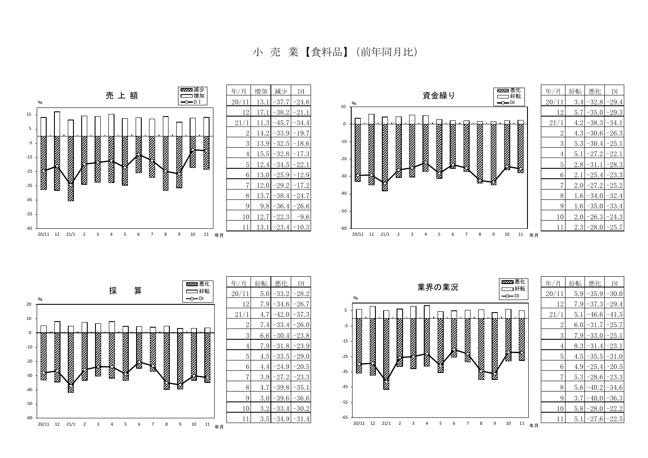小 売 業 【食料品】 (前年同月比)

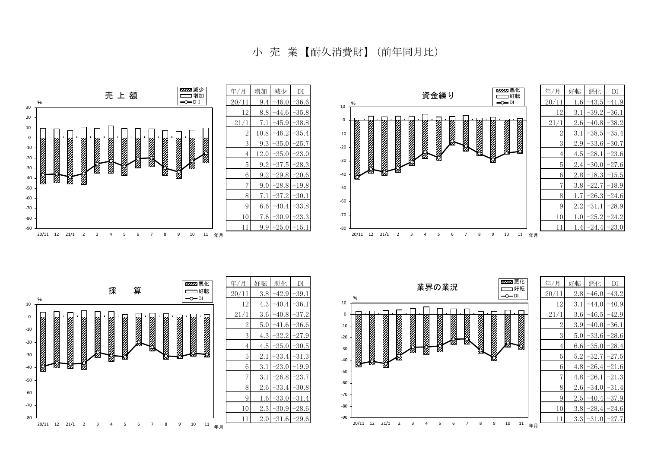小 売 業 【耐久消費財】 (前年同月比)

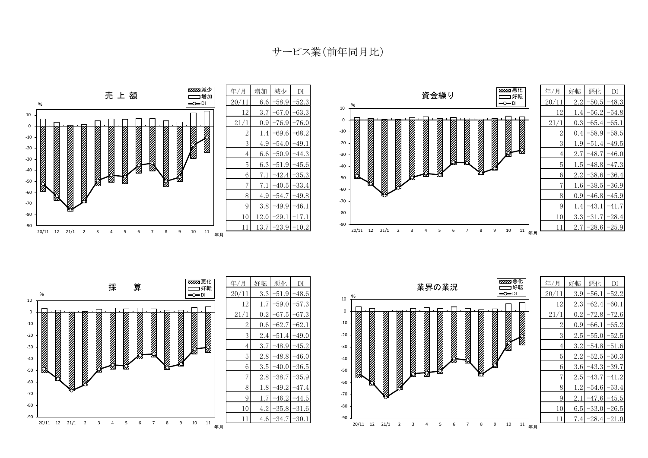サービス業(前年同月比)





| 好転       | 悪化      | DI      |
|----------|---------|---------|
| 3.3      | $-51.9$ | $-48.6$ |
| 1.7      | $-59.0$ | -57.3   |
| $_{0.2}$ | 67.5    | 67.3    |
| 0.6      | $-62.7$ | $-62.1$ |
| 2.4      | -51.4   | 49.0    |
| 3.7      | 48.9    | 45.2    |
| 2.8      | $-48.8$ | $-46.0$ |
| 3.5      | $-40.0$ | -36.5   |
| 2.8      | -38.7   | -35.9   |
| 1.8      | $-49.2$ | 47.4    |
| 1.7      | $-46.2$ | $-44.5$ |
| 4.2      | -35.8   | $-31.6$ |
| 4.6      | -34.7   | -30.1   |
|          |         |         |

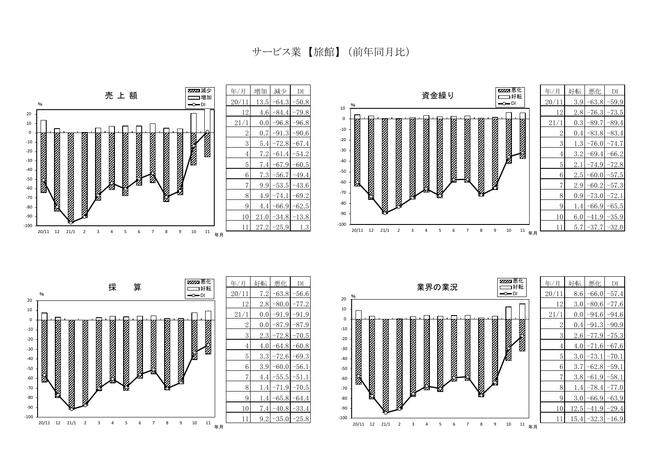サービス業 【旅館】 (前年同月比)



年月

年月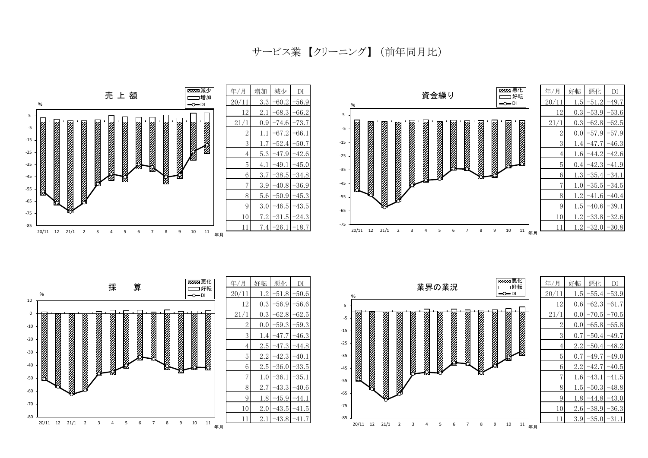サービス業 【クリーニング】 (前年同月比)